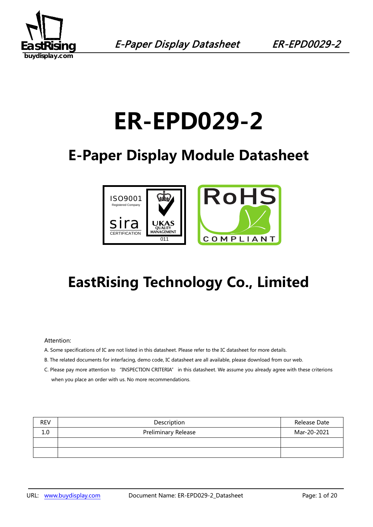

# **ER-EPD029-2**

# **E-Paper Display Module Datasheet**



# **EastRising Technology Co., Limited**

#### Attention:

- A. Some specifications of IC are not listed in this datasheet. Please refer to the IC datasheet for more details.
- B. The related documents for interfacing, demo code, IC datasheet are all available, please download from our web.
- C. Please pay more attention to "INSPECTION CRITERIA" in this datasheet. We assume you already agree with these criterions when you place an order with us. No more recommendations.

| <b>REV</b> | Description                | Release Date |
|------------|----------------------------|--------------|
| 1.0        | <b>Preliminary Release</b> | Mar-20-2021  |
|            |                            |              |
|            |                            |              |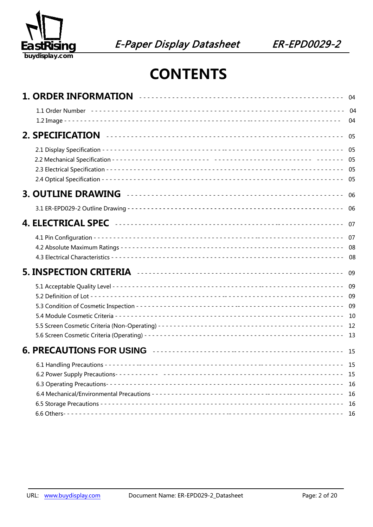

## **CONTENTS**

|  | - 04<br>04                 |
|--|----------------------------|
|  | 05                         |
|  | 05                         |
|  | -06                        |
|  | 06                         |
|  | 07                         |
|  | 07<br>08                   |
|  | 09                         |
|  | 09<br>09<br>09<br>13       |
|  |                            |
|  | -15<br>-16<br>- 16<br>- 16 |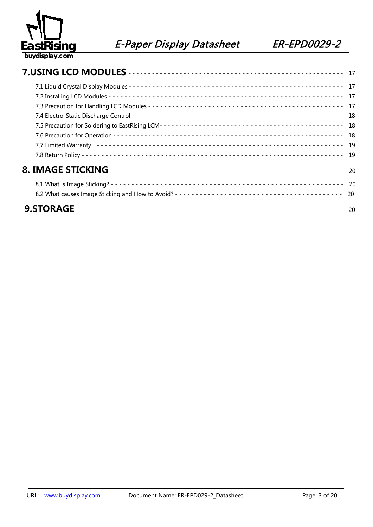

| 17 |
|----|
|    |
|    |
| 18 |
| 19 |
|    |
|    |
|    |
| 20 |
|    |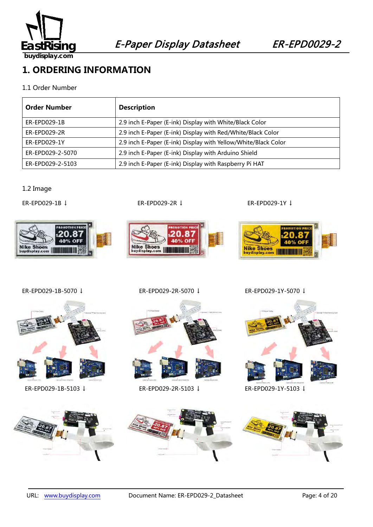

**1. ORDERING INFORMATION**

### 1.1 Order Number

| <b>Order Number</b> | <b>Description</b>                                             |
|---------------------|----------------------------------------------------------------|
| ER-EPD029-1B        | 2.9 inch E-Paper (E-ink) Display with White/Black Color        |
| $ER-EPD029-2R$      | 2.9 inch E-Paper (E-ink) Display with Red/White/Black Color    |
| ER-EPD029-1Y        | 2.9 inch E-Paper (E-ink) Display with Yellow/White/Black Color |
| ER-EPD029-2-5070    | 2.9 inch E-Paper (E-ink) Display with Arduino Shield           |
| ER-EPD029-2-5103    | 2.9 inch E-Paper (E-ink) Display with Raspberry Pi HAT         |

1.2 Image



ER-EPD029-1B ↓ ER-EPD029-2R ↓ ER-EPD029-1Y ↓



ER-EPD029-1B-5070 ↓ ER-EPD029-2R-5070 ↓ ER-EPD029-1Y-5070 ↓

Nike Shoes<br>buydisplay.com

20.

40% OFF





ER-EPD029-1B-5103 ↓ ER-EPD029-2R-5103 ↓ ER-EPD029-1Y-5103 ↓



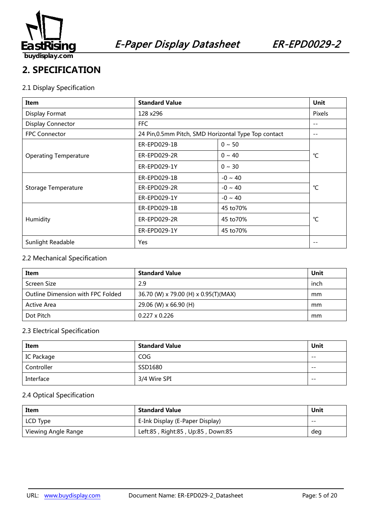

### **2. SPECIFICATION**

### 2.1 Display Specification

| Item                         | <b>Standard Value</b>                                | <b>Unit</b>  |             |  |
|------------------------------|------------------------------------------------------|--------------|-------------|--|
| Display Format               | 128 x296                                             |              | Pixels      |  |
| <b>Display Connector</b>     | FFC.                                                 |              | $- -$       |  |
| <b>FPC Connector</b>         | 24 Pin, 0.5mm Pitch, SMD Horizontal Type Top contact |              | $- -$       |  |
|                              | ER-EPD029-1B                                         | $0 \sim 50$  |             |  |
| <b>Operating Temperature</b> | ER-EPD029-2R                                         | $0 \sim 40$  | °C          |  |
|                              | ER-EPD029-1Y                                         | $0 \sim 30$  |             |  |
|                              | ER-EPD029-1B                                         | $-0 \sim 40$ | °C          |  |
| Storage Temperature          | ER-EPD029-2R                                         | $-0 \sim 40$ |             |  |
|                              | ER-EPD029-1Y                                         | $-0 \sim 40$ |             |  |
|                              | ER-EPD029-1B                                         | 45 to 70%    |             |  |
| Humidity                     | ER-EPD029-2R                                         | 45 to 70%    | $^{\circ}C$ |  |
|                              | ER-EPD029-1Y                                         | 45 to 70%    |             |  |
| Sunlight Readable            | Yes                                                  |              | $- -$       |  |

### 2.2 Mechanical Specification

| Item                              | <b>Standard Value</b>                | Unit |
|-----------------------------------|--------------------------------------|------|
| Screen Size                       | 2.9                                  | inch |
| Outline Dimension with FPC Folded | 36.70 (W) x 79.00 (H) x 0.95(T)(MAX) | mm   |
| Active Area                       | 29.06 (W) x 66.90 (H)                | mm   |
| Dot Pitch                         | $0.227 \times 0.226$                 | mm   |

### 2.3 Electrical Specification

| Item       | <b>Standard Value</b> | Unit  |
|------------|-----------------------|-------|
| IC Package | COG                   | $- -$ |
| Controller | SSD1680               | $- -$ |
| Interface  | 3/4 Wire SPI          | $- -$ |

### 2.4 Optical Specification

| Item                                                     | <b>Standard Value</b>           | Unit  |
|----------------------------------------------------------|---------------------------------|-------|
| LCD Type                                                 | E-Ink Display (E-Paper Display) | $- -$ |
| Left:85, Right:85, Up:85, Down:85<br>Viewing Angle Range |                                 | deg   |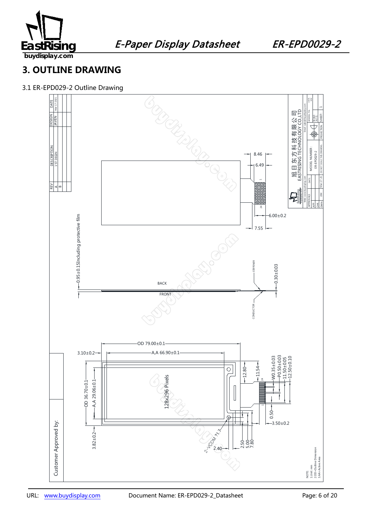

### **3. OUTLINE DRAWING**

### 3.1 ER-EPD029-2 Outline Drawing

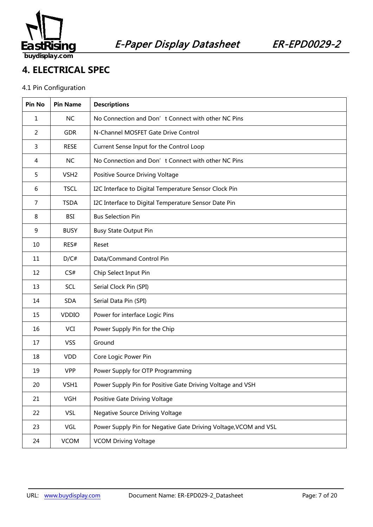

### **4. ELECTRICAL SPEC**

### 4.1 Pin Configuration

| Pin No         | <b>Pin Name</b>  | <b>Descriptions</b>                                              |
|----------------|------------------|------------------------------------------------------------------|
| 1              | <b>NC</b>        | No Connection and Don't Connect with other NC Pins               |
| $\overline{2}$ | <b>GDR</b>       | N-Channel MOSFET Gate Drive Control                              |
| 3              | <b>RESE</b>      | Current Sense Input for the Control Loop                         |
| 4              | <b>NC</b>        | No Connection and Don't Connect with other NC Pins               |
| 5              | VSH <sub>2</sub> | Positive Source Driving Voltage                                  |
| 6              | <b>TSCL</b>      | I2C Interface to Digital Temperature Sensor Clock Pin            |
| $\overline{7}$ | <b>TSDA</b>      | I2C Interface to Digital Temperature Sensor Date Pin             |
| 8              | BSI              | <b>Bus Selection Pin</b>                                         |
| 9              | <b>BUSY</b>      | <b>Busy State Output Pin</b>                                     |
| 10             | RES#             | Reset                                                            |
| 11             | D/C#             | Data/Command Control Pin                                         |
| 12             | CS#              | Chip Select Input Pin                                            |
| 13             | SCL              | Serial Clock Pin (SPI)                                           |
| 14             | <b>SDA</b>       | Serial Data Pin (SPI)                                            |
| 15             | <b>VDDIO</b>     | Power for interface Logic Pins                                   |
| 16             | <b>VCI</b>       | Power Supply Pin for the Chip                                    |
| 17             | <b>VSS</b>       | Ground                                                           |
| 18             | <b>VDD</b>       | Core Logic Power Pin                                             |
| 19             | <b>VPP</b>       | Power Supply for OTP Programming                                 |
| 20             | VSH1             | Power Supply Pin for Positive Gate Driving Voltage and VSH       |
| 21             | <b>VGH</b>       | Positive Gate Driving Voltage                                    |
| 22             | <b>VSL</b>       | <b>Negative Source Driving Voltage</b>                           |
| 23             | VGL              | Power Supply Pin for Negative Gate Driving Voltage, VCOM and VSL |
| 24             | <b>VCOM</b>      | <b>VCOM Driving Voltage</b>                                      |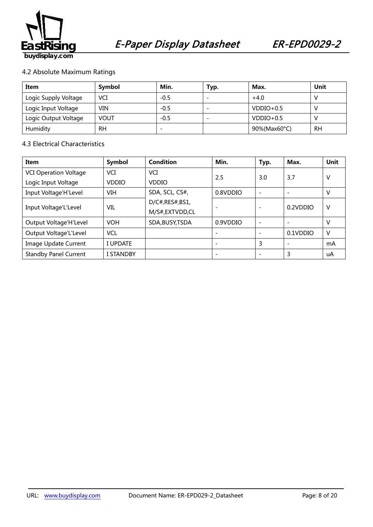

### 4.2 Absolute Maximum Ratings

| Item                 | Symbol      | Min.   | Typ.                     | Max.         | Unit |
|----------------------|-------------|--------|--------------------------|--------------|------|
| Logic Supply Voltage | VCI         | $-0.5$ | $\overline{\phantom{0}}$ | $+4.0$       |      |
| Logic Input Voltage  | VIN         | $-0.5$ | $\overline{\phantom{0}}$ | $VDDIO+0.5$  |      |
| Logic Output Voltage | <b>VOUT</b> | $-0.5$ | $\overline{\phantom{0}}$ | $VDDIO+0.5$  |      |
| Humidity             | RН          |        |                          | 90%(Max60°C) | RH   |

### 4.3 Electrical Characteristics

| Item                         | Symbol           | Condition        | Min.     | Typ.                     | Max.                     | Unit |
|------------------------------|------------------|------------------|----------|--------------------------|--------------------------|------|
| <b>VCI Operation Voltage</b> | VCI              | VCI              | 2.5      |                          | 3.7                      | v    |
| Logic Input Voltage          | <b>VDDIO</b>     | <b>VDDIO</b>     |          | 3.0                      |                          |      |
| Input Voltage'H'Level        | VIH              | SDA, SCL, CS#,   | 0.8VDDIO | $\overline{\phantom{0}}$ | $\overline{\phantom{0}}$ | v    |
|                              |                  | D/C#, RES#, BS1, |          |                          | 0.2VDDIO                 | V    |
| Input Voltage'L'Level        | VIL              | M/S#,EXTVDD,CL   |          |                          |                          |      |
| Output Voltage'H'Level       | <b>VOH</b>       | SDA, BUSY, TSDA  | 0.9VDDIO | $\overline{\phantom{0}}$ |                          | V    |
| Output Voltage'L'Level       | <b>VCL</b>       |                  |          |                          | 0.1VDDIO                 | V    |
| Image Update Current         | I UPDATE         |                  |          | 3                        | $\overline{\phantom{0}}$ | mA   |
| <b>Standby Panel Current</b> | <b>I STANDBY</b> |                  |          |                          | 3                        | uA   |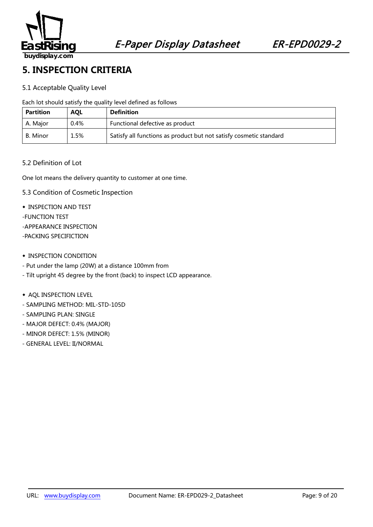

### **5. INSPECTION CRITERIA**

### 5.1 Acceptable Quality Level

Each lot should satisfy the quality level defined as follows

| <b>Partition</b> | <b>AOL</b> | <b>Definition</b>                                                  |
|------------------|------------|--------------------------------------------------------------------|
| A. Maior         | $0.4\%$    | Functional defective as product                                    |
| B. Minor         | 1.5%       | Satisfy all functions as product but not satisfy cosmetic standard |

#### 5.2 Definition of Lot

One lot means the delivery quantity to customer at one time.

- 5.3 Condition of Cosmetic Inspection
- ◆ INSPECTION AND TEST
- -FUNCTION TEST
- -APPEARANCE INSPECTION
- -PACKING SPECIFICTION
- ◆ INSPECTION CONDITION
- Put under the lamp (20W) at a distance 100mm from
- Tilt upright 45 degree by the front (back) to inspect LCD appearance.
- ◆ AQL INSPECTION LEVEL
- SAMPLING METHOD: MIL-STD-105D
- SAMPLING PLAN: SINGLE
- MAJOR DEFECT: 0.4% (MAJOR)
- MINOR DEFECT: 1.5% (MINOR)
- GENERAL LEVEL: II/NORMAL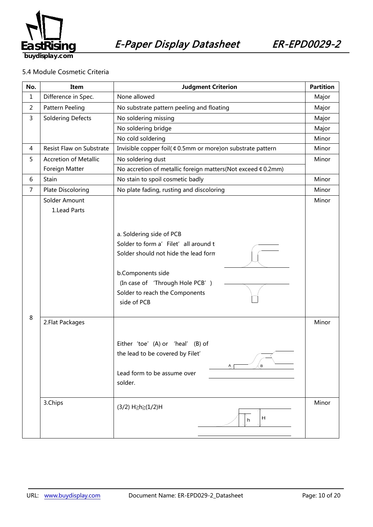

5.4 Module Cosmetic Criteria

| No.            | Item                          | <b>Judgment Criterion</b>                                                                                                                                                                                          |                |
|----------------|-------------------------------|--------------------------------------------------------------------------------------------------------------------------------------------------------------------------------------------------------------------|----------------|
| $\mathbf{1}$   | Difference in Spec.           | None allowed                                                                                                                                                                                                       |                |
| $\overline{2}$ | Pattern Peeling               | No substrate pattern peeling and floating                                                                                                                                                                          | Major          |
| 3              | <b>Soldering Defects</b>      | No soldering missing                                                                                                                                                                                               | Major          |
|                |                               | No soldering bridge                                                                                                                                                                                                | Major          |
|                |                               | No cold soldering                                                                                                                                                                                                  |                |
| 4              | Resist Flaw on Substrate      | Invisible copper foil( ¢ 0.5mm or more) on substrate pattern                                                                                                                                                       | Minor          |
| 5              | <b>Accretion of Metallic</b>  | No soldering dust                                                                                                                                                                                                  |                |
|                | Foreign Matter                | No accretion of metallic foreign matters(Not exceed ¢ 0.2mm)                                                                                                                                                       |                |
| 6              | Stain                         | No stain to spoil cosmetic badly                                                                                                                                                                                   | Minor          |
| 7              | Plate Discoloring             | No plate fading, rusting and discoloring                                                                                                                                                                           | Minor          |
| 8              | Solder Amount<br>1.Lead Parts | a. Soldering side of PCB<br>Solder to form a' Filet' all around t<br>Solder should not hide the lead form<br>b.Components side<br>(In case of 'Through Hole PCB')<br>Solder to reach the Components<br>side of PCB | Minor          |
|                | 2. Flat Packages<br>3.Chips   | Either 'toe' (A) or 'heal' (B) of<br>the lead to be covered by Filet'<br>B<br>Lead form to be assume over<br>solder.<br>$(3/2)$ H≥h≥ $(1/2)$ H<br>H<br>h                                                           | Minor<br>Minor |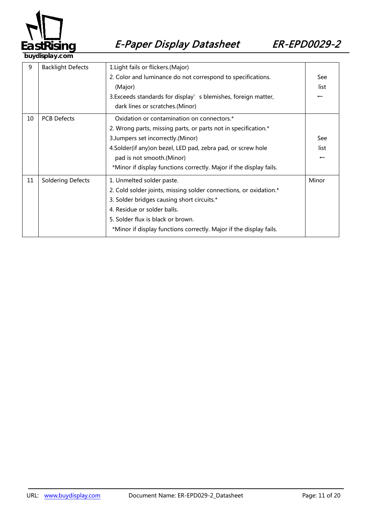

| 9  | <b>Backlight Defects</b>                                         | 1. Light fails or flickers. (Major)                                |                          |
|----|------------------------------------------------------------------|--------------------------------------------------------------------|--------------------------|
|    |                                                                  | 2. Color and luminance do not correspond to specifications.        | See                      |
|    |                                                                  | (Major)                                                            | list                     |
|    |                                                                  | 3. Exceeds standards for display' s blemishes, foreign matter,     | $\overline{\phantom{0}}$ |
|    |                                                                  | dark lines or scratches.(Minor)                                    |                          |
| 10 | <b>PCB Defects</b><br>Oxidation or contamination on connectors.* |                                                                    |                          |
|    |                                                                  | 2. Wrong parts, missing parts, or parts not in specification.*     |                          |
|    |                                                                  | 3. Jumpers set incorrectly. (Minor)                                | See                      |
|    |                                                                  | 4. Solder (if any) on bezel, LED pad, zebra pad, or screw hole     | list                     |
|    |                                                                  | pad is not smooth.(Minor)                                          | $\overline{\phantom{m}}$ |
|    |                                                                  | *Minor if display functions correctly. Major if the display fails. |                          |
| 11 | <b>Soldering Defects</b>                                         | 1. Unmelted solder paste.                                          | Minor                    |
|    |                                                                  | 2. Cold solder joints, missing solder connections, or oxidation.*  |                          |
|    |                                                                  | 3. Solder bridges causing short circuits.*                         |                          |
|    |                                                                  | 4. Residue or solder balls.                                        |                          |
|    |                                                                  | 5. Solder flux is black or brown.                                  |                          |
|    |                                                                  | *Minor if display functions correctly. Major if the display fails. |                          |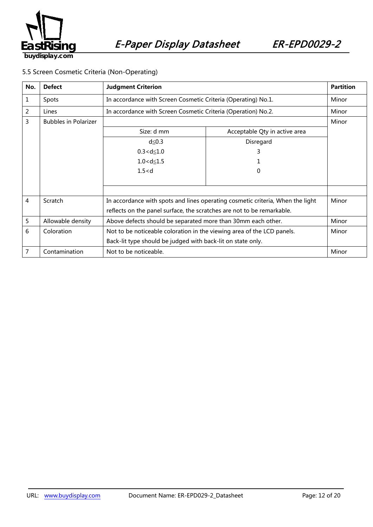

### 5.5 Screen Cosmetic Criteria (Non-Operating)

| No. | <b>Defect</b>               | <b>Judgment Criterion</b>                                                      |                               | <b>Partition</b> |
|-----|-----------------------------|--------------------------------------------------------------------------------|-------------------------------|------------------|
| 1   | Spots                       | In accordance with Screen Cosmetic Criteria (Operating) No.1.                  |                               | Minor            |
| 2   | Lines                       | In accordance with Screen Cosmetic Criteria (Operation) No.2.                  |                               | Minor            |
| 3   | <b>Bubbles in Polarizer</b> |                                                                                | Minor                         |                  |
|     |                             | Size: d mm                                                                     | Acceptable Qty in active area |                  |
|     |                             | $d \leq 0.3$                                                                   | Disregard                     |                  |
|     |                             | $0.3 < d \le 1.0$                                                              | 3                             |                  |
|     |                             | $1.0 < d \le 1.5$                                                              |                               |                  |
|     |                             | 1.5 < d                                                                        | 0                             |                  |
|     |                             |                                                                                |                               |                  |
|     |                             |                                                                                |                               |                  |
| 4   | Scratch                     | In accordance with spots and lines operating cosmetic criteria, When the light |                               | Minor            |
|     |                             | reflects on the panel surface, the scratches are not to be remarkable.         |                               |                  |
| 5   | Allowable density           | Above defects should be separated more than 30mm each other.                   |                               | Minor            |
| 6   | Coloration                  | Not to be noticeable coloration in the viewing area of the LCD panels.         |                               | Minor            |
|     |                             | Back-lit type should be judged with back-lit on state only.                    |                               |                  |
| 7   | Contamination               | Not to be noticeable.                                                          |                               | Minor            |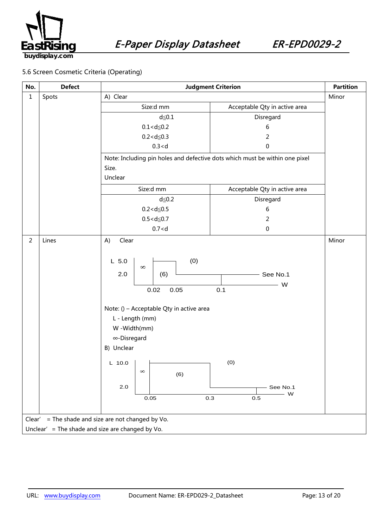

### 5.6 Screen Cosmetic Criteria (Operating)

| No.                                              | <b>Defect</b> | <b>Judgment Criterion</b>                                                                                                                                                                                     |                                 | <b>Partition</b> |
|--------------------------------------------------|---------------|---------------------------------------------------------------------------------------------------------------------------------------------------------------------------------------------------------------|---------------------------------|------------------|
| $\mathbf{1}$                                     | Spots         | A) Clear                                                                                                                                                                                                      |                                 | Minor            |
|                                                  |               | Size:d mm                                                                                                                                                                                                     | Acceptable Qty in active area   |                  |
|                                                  |               | $d \leq 0.1$                                                                                                                                                                                                  | Disregard                       |                  |
|                                                  |               | $0.1 < d \le 0.2$                                                                                                                                                                                             | 6                               |                  |
|                                                  |               | $0.2 < d \le 0.3$                                                                                                                                                                                             | $\overline{2}$                  |                  |
|                                                  |               | 0.3 < d                                                                                                                                                                                                       | $\pmb{0}$                       |                  |
|                                                  |               | Note: Including pin holes and defective dots which must be within one pixel                                                                                                                                   |                                 |                  |
|                                                  |               | Size.                                                                                                                                                                                                         |                                 |                  |
|                                                  |               | Unclear                                                                                                                                                                                                       |                                 |                  |
|                                                  |               | Size:d mm                                                                                                                                                                                                     | Acceptable Qty in active area   |                  |
|                                                  |               | $d \leq 0.2$                                                                                                                                                                                                  | Disregard                       |                  |
|                                                  |               | $0.2 < d \le 0.5$                                                                                                                                                                                             | 6                               |                  |
|                                                  |               | $0.5 < d \le 0.7$                                                                                                                                                                                             | $\overline{2}$                  |                  |
|                                                  |               | 0.7 < d                                                                                                                                                                                                       | $\pmb{0}$                       |                  |
| $\overline{2}$                                   | Lines         | Clear<br>A)<br>(0)<br>$L$ 5.0<br>$\infty$<br>2.0<br>(6)<br>0.05<br>0.02<br>Note: () - Acceptable Qty in active area<br>L - Length (mm)<br>W -Width(mm)<br>∞-Disregard<br>B) Unclear<br>L 10.0 $\vert$ $\vert$ | $-$ See No.1<br>W<br>0.1<br>(0) | Minor            |
| Clear'                                           |               | $\infty$<br>(6)<br>2.0<br>0.05<br>0.3<br>= The shade and size are not changed by Vo.                                                                                                                          | See No.1<br>$-$ W<br>$0.5\,$    |                  |
| Unclear' = The shade and size are changed by Vo. |               |                                                                                                                                                                                                               |                                 |                  |
|                                                  |               |                                                                                                                                                                                                               |                                 |                  |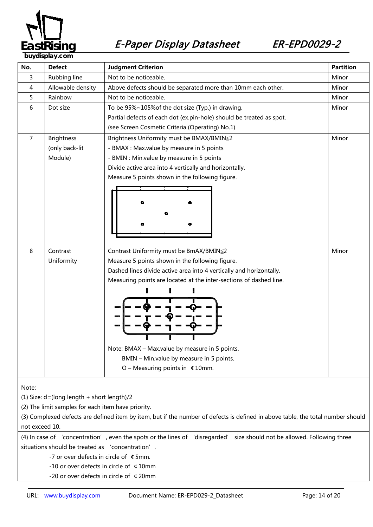

**buydisplay** 

| No.                                                                                                                             | <b>Defect</b>     | <b>Judgment Criterion</b>                                            | <b>Partition</b> |  |
|---------------------------------------------------------------------------------------------------------------------------------|-------------------|----------------------------------------------------------------------|------------------|--|
| 3                                                                                                                               | Rubbing line      | Not to be noticeable.                                                | Minor            |  |
| 4                                                                                                                               | Allowable density | Above defects should be separated more than 10mm each other.         | Minor            |  |
| 5                                                                                                                               | Rainbow           | Not to be noticeable.                                                | Minor            |  |
| 6                                                                                                                               | Dot size          | To be 95%~105% of the dot size (Typ.) in drawing.                    | Minor            |  |
|                                                                                                                                 |                   | Partial defects of each dot (ex.pin-hole) should be treated as spot. |                  |  |
|                                                                                                                                 |                   | (see Screen Cosmetic Criteria (Operating) No.1)                      |                  |  |
| 7                                                                                                                               | <b>Brightness</b> | Brightness Uniformity must be BMAX/BMIN≤2                            | Minor            |  |
|                                                                                                                                 | (only back-lit    | - BMAX : Max.value by measure in 5 points                            |                  |  |
|                                                                                                                                 | Module)           | - BMIN : Min.value by measure in 5 points                            |                  |  |
|                                                                                                                                 |                   | Divide active area into 4 vertically and horizontally.               |                  |  |
|                                                                                                                                 |                   | Measure 5 points shown in the following figure.                      |                  |  |
|                                                                                                                                 |                   |                                                                      |                  |  |
|                                                                                                                                 |                   |                                                                      |                  |  |
|                                                                                                                                 |                   |                                                                      |                  |  |
|                                                                                                                                 |                   |                                                                      |                  |  |
|                                                                                                                                 |                   |                                                                      |                  |  |
|                                                                                                                                 |                   |                                                                      |                  |  |
| 8                                                                                                                               | Contrast          | Contrast Uniformity must be BmAX/BMIN≦2                              | Minor            |  |
|                                                                                                                                 | Uniformity        | Measure 5 points shown in the following figure.                      |                  |  |
|                                                                                                                                 |                   | Dashed lines divide active area into 4 vertically and horizontally.  |                  |  |
|                                                                                                                                 |                   | Measuring points are located at the inter-sections of dashed line.   |                  |  |
|                                                                                                                                 |                   |                                                                      |                  |  |
|                                                                                                                                 |                   |                                                                      |                  |  |
|                                                                                                                                 |                   |                                                                      |                  |  |
|                                                                                                                                 |                   |                                                                      |                  |  |
|                                                                                                                                 |                   |                                                                      |                  |  |
|                                                                                                                                 |                   |                                                                      |                  |  |
|                                                                                                                                 |                   | Note: BMAX - Max.value by measure in 5 points.                       |                  |  |
|                                                                                                                                 |                   | BMIN - Min.value by measure in 5 points.                             |                  |  |
|                                                                                                                                 |                   | O – Measuring points in $\ 410$ mm.                                  |                  |  |
|                                                                                                                                 |                   |                                                                      |                  |  |
| Note:                                                                                                                           |                   |                                                                      |                  |  |
| (1) Size: d=(long length + short length)/2                                                                                      |                   |                                                                      |                  |  |
| (2) The limit samples for each item have priority.                                                                              |                   |                                                                      |                  |  |
| (3) Complexed defects are defined item by item, but if the number of defects is defined in above table, the total number should |                   |                                                                      |                  |  |
| not exceed 10.                                                                                                                  |                   |                                                                      |                  |  |
| (4) In case of 'concentration', even the spots or the lines of 'disregarded' size should not be allowed. Following three        |                   |                                                                      |                  |  |
| situations should be treated as 'concentration'.                                                                                |                   |                                                                      |                  |  |
| -7 or over defects in circle of ¢5mm.                                                                                           |                   |                                                                      |                  |  |
| -10 or over defects in circle of ¢10mm                                                                                          |                   |                                                                      |                  |  |
| -20 or over defects in circle of ¢20mm                                                                                          |                   |                                                                      |                  |  |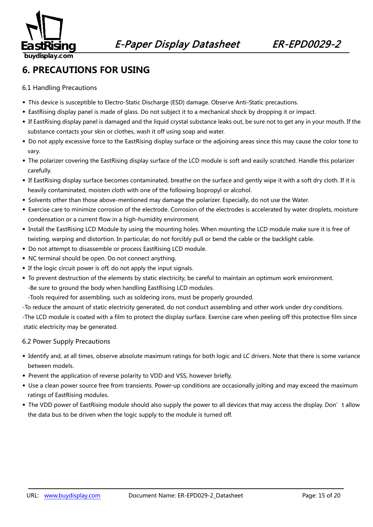

### **6. PRECAUTIONS FOR USING**

6.1 Handling Precautions

- ◆ This device is susceptible to Electro-Static Discharge (ESD) damage. Observe Anti-Static precautions.
- ◆ EastRising display panel is made of glass. Do not subject it to a mechanical shock by dropping it or impact.
- ◆ If EastRising display panel is damaged and the liquid crystal substance leaks out, be sure not to get any in your mouth. If the substance contacts your skin or clothes, wash it off using soap and water.
- ◆ Do not apply excessive force to the EastRising display surface or the adjoining areas since this may cause the color tone to vary.
- ◆ The polarizer covering the EastRising display surface of the LCD module is soft and easily scratched. Handle this polarizer carefully.
- ◆ If EastRising display surface becomes contaminated, breathe on the surface and gently wipe it with a soft dry cloth. If it is heavily contaminated, moisten cloth with one of the following Isopropyl or alcohol.
- ◆ Solvents other than those above-mentioned may damage the polarizer. Especially, do not use the Water.
- ◆ Exercise care to minimize corrosion of the electrode. Corrosion of the electrodes is accelerated by water droplets, moisture condensation or a current flow in a high-humidity environment.
- ◆ Install the EastRising LCD Module by using the mounting holes. When mounting the LCD module make sure it is free of twisting, warping and distortion. In particular, do not forcibly pull or bend the cable or the backlight cable.
- ◆ Do not attempt to disassemble or process EastRising LCD module.
- ◆ NC terminal should be open. Do not connect anything.
- ◆ If the logic circuit power is off, do not apply the input signals.
- ◆ To prevent destruction of the elements by static electricity, be careful to maintain an optimum work environment. -Be sure to ground the body when handling EastRising LCD modules.
	- -Tools required for assembling, such as soldering irons, must be properly grounded.
- -To reduce the amount of static electricity generated, do not conduct assembling and other work under dry conditions.

-The LCD module is coated with a film to protect the display surface. Exercise care when peeling off this protective film since static electricity may be generated.

### 6.2 Power Supply Precautions

- ◆ Identify and, at all times, observe absolute maximum ratings for both logic and LC drivers. Note that there is some variance between models.
- ◆ Prevent the application of reverse polarity to VDD and VSS, however briefly.
- ◆ Use a clean power source free from transients. Power-up conditions are occasionally jolting and may exceed the maximum ratings of EastRising modules.
- ◆ The VDD power of EastRising module should also supply the power to all devices that may access the display. Don't allow the data bus to be driven when the logic supply to the module is turned off.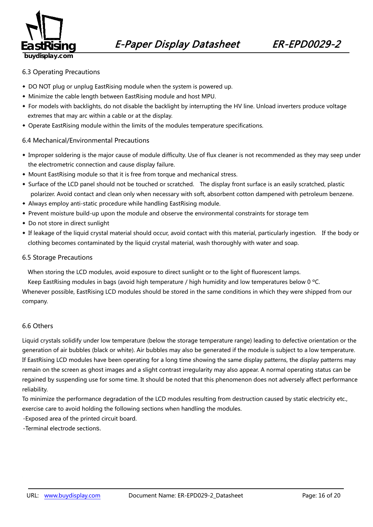

#### 6.3 Operating Precautions

- ◆ DO NOT plug or unplug EastRising module when the system is powered up.
- ◆ Minimize the cable length between EastRising module and host MPU.
- ◆ For models with backlights, do not disable the backlight by interrupting the HV line. Unload inverters produce voltage extremes that may arc within a cable or at the display.
- ◆ Operate EastRising module within the limits of the modules temperature specifications.

#### 6.4 Mechanical/Environmental Precautions

- ◆ Improper soldering is the major cause of module difficulty. Use of flux cleaner is not recommended as they may seep under the electrometric connection and cause display failure.
- ◆ Mount EastRising module so that it is free from torque and mechanical stress.
- ◆ Surface of the LCD panel should not be touched or scratched. The display front surface is an easily scratched, plastic polarizer. Avoid contact and clean only when necessary with soft, absorbent cotton dampened with petroleum benzene.
- ◆ Always employ anti-static procedure while handling EastRising module.
- ◆ Prevent moisture build-up upon the module and observe the environmental constraints for storage tem
- ◆ Do not store in direct sunlight
- ◆ If leakage of the liquid crystal material should occur, avoid contact with this material, particularly ingestion. If the body or clothing becomes contaminated by the liquid crystal material, wash thoroughly with water and soap.

#### 6.5 Storage Precautions

When storing the LCD modules, avoid exposure to direct sunlight or to the light of fluorescent lamps.

Keep EastRising modules in bags (avoid high temperature / high humidity and low temperatures below 0 ºC.

Whenever possible, EastRising LCD modules should be stored in the same conditions in which they were shipped from our company.

#### 6.6 Others

Liquid crystals solidify under low temperature (below the storage temperature range) leading to defective orientation or the generation of air bubbles (black or white). Air bubbles may also be generated if the module is subject to a low temperature. If EastRising LCD modules have been operating for a long time showing the same display patterns, the display patterns may remain on the screen as ghost images and a slight contrast irregularity may also appear. A normal operating status can be regained by suspending use for some time. It should be noted that this phenomenon does not adversely affect performance reliability.

To minimize the performance degradation of the LCD modules resulting from destruction caused by static electricity etc., exercise care to avoid holding the following sections when handling the modules.

-Exposed area of the printed circuit board.

-Terminal electrode sections.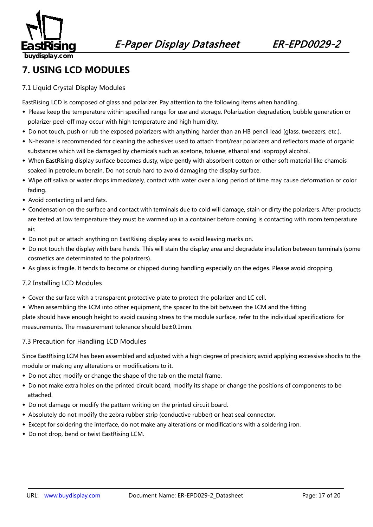

### **7. USING LCD MODULES**

### 7.1 Liquid Crystal Display Modules

EastRising LCD is composed of glass and polarizer. Pay attention to the following items when handling.

- ◆ Please keep the temperature within specified range for use and storage. Polarization degradation, bubble generation or polarizer peel-off may occur with high temperature and high humidity.
- ◆ Do not touch, push or rub the exposed polarizers with anything harder than an HB pencil lead (glass, tweezers, etc.).
- ◆ N-hexane is recommended for cleaning the adhesives used to attach front/rear polarizers and reflectors made of organic substances which will be damaged by chemicals such as acetone, toluene, ethanol and isopropyl alcohol.
- ◆ When EastRising display surface becomes dusty, wipe gently with absorbent cotton or other soft material like chamois soaked in petroleum benzin. Do not scrub hard to avoid damaging the display surface.
- ◆ Wipe off saliva or water drops immediately, contact with water over a long period of time may cause deformation or color fading.
- ◆ Avoid contacting oil and fats.
- ◆ Condensation on the surface and contact with terminals due to cold will damage, stain or dirty the polarizers. After products are tested at low temperature they must be warmed up in a container before coming is contacting with room temperature air.
- ◆ Do not put or attach anything on EastRising display area to avoid leaving marks on.
- ◆ Do not touch the display with bare hands. This will stain the display area and degradate insulation between terminals (some cosmetics are determinated to the polarizers).
- ◆ As glass is fragile. It tends to become or chipped during handling especially on the edges. Please avoid dropping.

### 7.2 Installing LCD Modules

- ◆ Cover the surface with a transparent protective plate to protect the polarizer and LC cell.
- ◆ When assembling the LCM into other equipment, the spacer to the bit between the LCM and the fitting

plate should have enough height to avoid causing stress to the module surface, refer to the individual specifications for measurements. The measurement tolerance should be±0.1mm.

### 7.3 Precaution for Handling LCD Modules

Since EastRising LCM has been assembled and adjusted with a high degree of precision; avoid applying excessive shocks to the module or making any alterations or modifications to it.

- ◆ Do not alter, modify or change the shape of the tab on the metal frame.
- ◆ Do not make extra holes on the printed circuit board, modify its shape or change the positions of components to be attached.
- ◆ Do not damage or modify the pattern writing on the printed circuit board.
- ◆ Absolutely do not modify the zebra rubber strip (conductive rubber) or heat seal connector.
- ◆ Except for soldering the interface, do not make any alterations or modifications with a soldering iron.
- ◆ Do not drop, bend or twist EastRising LCM.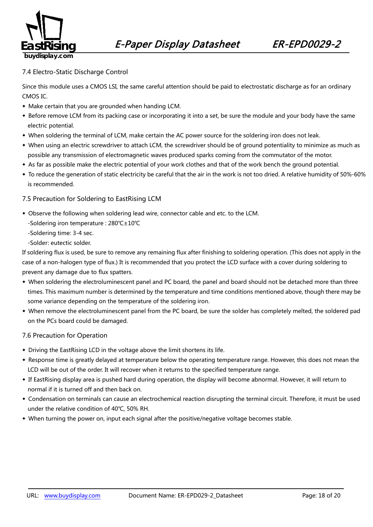

### 7.4 Electro-Static Discharge Control

Since this module uses a CMOS LSI, the same careful attention should be paid to electrostatic discharge as for an ordinary CMOS IC.

- ◆ Make certain that you are grounded when handing LCM.
- ◆ Before remove LCM from its packing case or incorporating it into a set, be sure the module and your body have the same electric potential.
- ◆ When soldering the terminal of LCM, make certain the AC power source for the soldering iron does not leak.
- ◆ When using an electric screwdriver to attach LCM, the screwdriver should be of ground potentiality to minimize as much as possible any transmission of electromagnetic waves produced sparks coming from the commutator of the motor.
- ◆ As far as possible make the electric potential of your work clothes and that of the work bench the ground potential.
- ◆ To reduce the generation of static electricity be careful that the air in the work is not too dried. A relative humidity of 50%-60% is recommended.

#### 7.5 Precaution for Soldering to EastRising LCM

- ◆ Observe the following when soldering lead wire, connector cable and etc. to the LCM.
	- -Soldering iron temperature : 280℃±10℃
	- -Soldering time: 3-4 sec.
	- -Solder: eutectic solder.

If soldering flux is used, be sure to remove any remaining flux after finishing to soldering operation. (This does not apply in the case of a non-halogen type of flux.) It is recommended that you protect the LCD surface with a cover during soldering to prevent any damage due to flux spatters.

- ◆ When soldering the electroluminescent panel and PC board, the panel and board should not be detached more than three times. This maximum number is determined by the temperature and time conditions mentioned above, though there may be some variance depending on the temperature of the soldering iron.
- ◆ When remove the electroluminescent panel from the PC board, be sure the solder has completely melted, the soldered pad on the PCs board could be damaged.

#### 7.6 Precaution for Operation

- ◆ Driving the EastRising LCD in the voltage above the limit shortens its life.
- ◆ Response time is greatly delayed at temperature below the operating temperature range. However, this does not mean the LCD will be out of the order. It will recover when it returns to the specified temperature range.
- ◆ If EastRising display area is pushed hard during operation, the display will become abnormal. However, it will return to normal if it is turned off and then back on.
- ◆ Condensation on terminals can cause an electrochemical reaction disrupting the terminal circuit. Therefore, it must be used under the relative condition of 40℃, 50% RH.
- ◆ When turning the power on, input each signal after the positive/negative voltage becomes stable.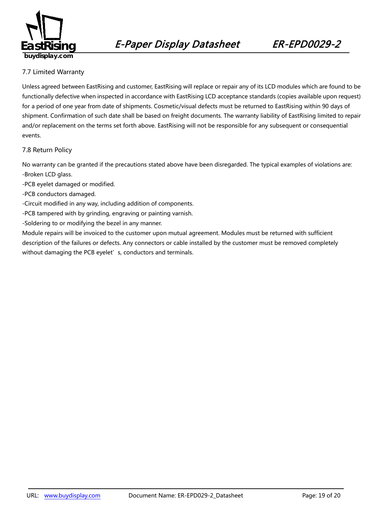

### 7.7 Limited Warranty

*49B163*Unless agreed between EastRising and customer, EastRising will replace or repair any of its LCD modules which are found to be functionally defective when inspected in accordance with EastRising LCD acceptance standards (copies available upon request) for a period of one year from date of shipments. Cosmetic/visual defects must be returned to EastRising within 90 days of shipment. Confirmation of such date shall be based on freight documents. The warranty liability of EastRising limited to repair and/or replacement on the terms set forth above. EastRising will not be responsible for any subsequent or consequential events.

### 7.8 Return Policy

*2B4196*No warranty can be granted if the precautions stated above have been disregarded. The typical examples of violations are: -Broken LCD glass.

- -PCB eyelet damaged or modified.
- -PCB conductors damaged.
- -Circuit modified in any way, including addition of components.
- -PCB tampered with by grinding, engraving or painting varnish.
- -Soldering to or modifying the bezel in any manner.

Module repairs will be invoiced to the customer upon mutual agreement. Modules must be returned with sufficient description of the failures or defects. Any connectors or cable installed by the customer must be removed completely without damaging the PCB eyelet's, conductors and terminals.